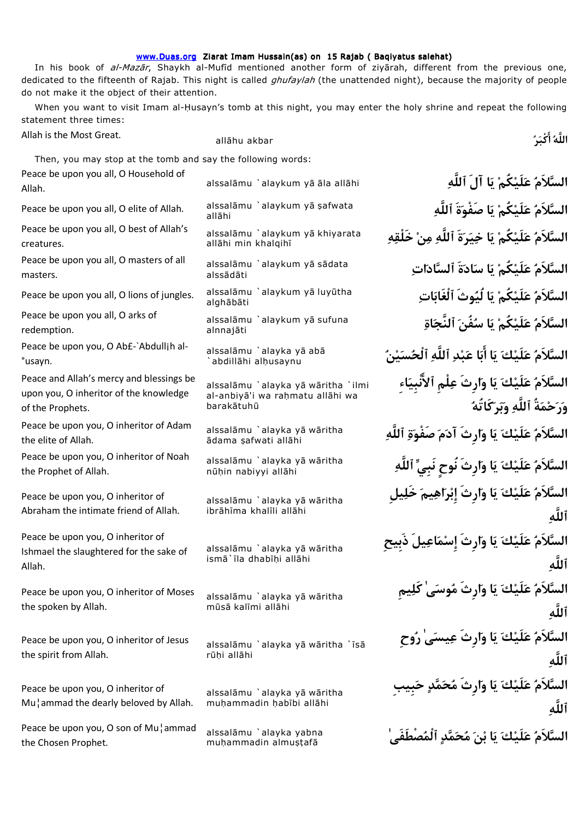## www.Duas.org Ziarat Imam Hussain(as) on 15 Rajab ( Baqiyatus salehat)

In his book of al-Mazar, Shaykh al-Mufid mentioned another form of ziyarah, different from the previous one, dedicated to the fifteenth of Rajab. This night is called *ghufaylah* (the unattended night), because the majority of people do not make it the object of their attention.

When you want to visit Imam al-Husayn's tomb at this night, you may enter the holy shrine and repeat the following statement three times:

Allah is the Most Great.

all¡hu akbar **ركْب اللَّه ا**

Then, you may stop at the tomb and say the following words:

alssal¡mu `alaykum y¡ ¡la all¡hi **ٱللَّه آلَ اي كُملَيع لاَمالس** Peace be upon you all, O Household of Allah. Peace be upon you all, O elite of Allah.

Peace be upon you all, O best of Allah's creatures.

Peace be upon you all, O masters of all masters.

Peace be upon you all, O lions of jungles.

Peace be upon you all, O arks of redemption.

Peace be upon you, O Ab£-`Abdullih al-°usayn.

Peace and Allah's mercy and blessings be upon you, O inheritor of the knowledge of the Prophets.

Peace be upon you, O inheritor of Adam the elite of Allah.

Peace be upon you, O inheritor of Noah the Prophet of Allah.

Peace be upon you, O inheritor of Abraham the intimate friend of Allah.

Peace be upon you, O inheritor of Ishmael the slaughtered for the sake of Allah.

Peace be upon you, O inheritor of Moses the spoken by Allah.

Peace be upon you, O inheritor of Jesus the spirit from Allah.

Peace be upon you, O inheritor of Mu¦ammad the dearly beloved by Allah.

Peace be upon you, O son of Mu¦ammad the Chosen Prophet.

allāhi

allāhi min khalqihī

alssādāti

alghābāti

alnnajāti

`abdillāhi alhusaynu

alssalāmu `alayka vā wāritha `ilmi al-anbiyā'i wa rahmatu allāhi wa barakātuhū

¡dama ¥afwati all¡hi

nūhin nabiyyi allāhi

alssalāmu `alayka yā wāritha ibrāhīma khalīli allāhi

alssalāmu `alayka yā wāritha ismā`īla dhabīhi allāhi

alssalāmu `alayka yā wāritha mūsā kalīmi allāhi

alssalāmu `alavka vā wāritha `īsā rūhi allāhi

alssalāmu `alayka yā wāritha muhammadin habībi allāhi

muhammadin almuştafā

**ٱللَّه ةَصَفْو اي كُملَيع لاَمالس** alssal¡mu `alaykum y¡ ¥afwata **هخَلْق نم للَّه ٱ ةَريخ اي كُملَيع لاَمالس** alssal¡mu `alaykum y¡ khiyarata alssalāmu `alaykum yā sādata**n (السَّلاَمُ عَلَىْكُمْ يَا سَادَةَ ٱلسَّادَات** alssalāmu `alaykum yā luyūtha<br>alabābāti **اةج لنَّٱ فُنس اي كُملَيع لاَمالس** alssal¡mu `alaykum y¡ sufuna **نيسح للَّه لْٱ ٱ دبع ااب اي كلَيع لاَمالس** alssal¡mu `alayka y¡ ab¡ **السلاَم علَيك يا وارِثَ علْمِ لاٱ نْبِياءِ ورحمةُ ٱ للَّه وبركَاتُه ٱللَّه ةصَفْو مآد ارِثَو اي كلَيع لاَمالس** alssal¡mu `alayka y¡ w¡ritha alssalāmu `alayka yā wāritha<br>nūhin nabiyyi allābi **in كلَيْكَ يَا وَارِثَ نُوحٍ نَبِيٍّ ٱللَّ**هِ **السلاَم علَيك يا وارِثَ إِبراهيم خَليلِ ٱللَّه السلاَم علَيك يا وارِثَ إِسماعيلَ ذَبِيحِ ٱللَّه السلاَم علَيك يا وارِثَ موس ىٰ كَليمِ ٱللَّه السلاَم علَيك يا وارِثَ عيس ىٰ روحِ ٱللَّه السلاَم علَيك يا وارِثَ محمد حبِيبِ ٱللَّه**

alssalāmu `alayka yabna **السَّلاَمُ عَلَيْكَ يَا بْنَ مُحَمَّدِ ٱلْمُصْطَفَىٰ ۚ**<br>mubammadin almustafā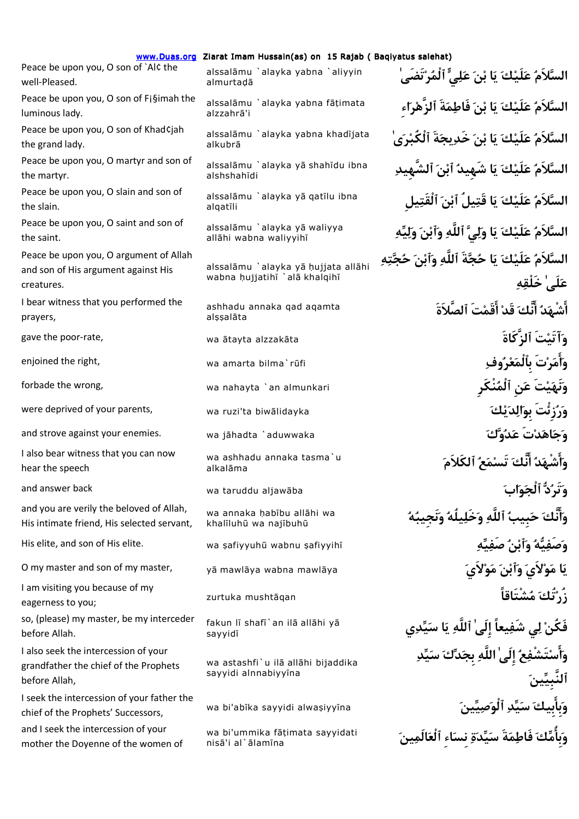www.Duas.org Ziarat Imam Hussain(as) on 15 Rajab ( Baqiyatus salehat)

Peace be upon you, O son of `Al¢ the well-Pleased.

Peace be upon you, O son of F¡§imah the luminous lady.

Peace be upon you, O son of Khad¢jah the grand lady.

Peace be upon you, O martyr and son of the martyr.

Peace be upon you, O slain and son of the slain.

Peace be upon you, O saint and son of the saint.

Peace be upon you, O argument of Allah and son of His argument against His creatures.

I bear witness that you performed the prayers,

I also bear witness that you can now hear the speech

and you are verily the beloved of Allah, His intimate friend, His selected servant,

eagerness to you;

so, (please) my master, be my interceder before Allah.

I also seek the intercession of your grandfather the chief of the Prophets before Allah,

I seek the intercession of your father the chief of the Prophets' Successors, and I seek the intercession of your mother the Doyenne of the women of

**ٰتَضَىرم لْٱ يلع نب اي كلَيع لاَمالس** alssal¡mu `alayka yabna `aliyyin almurtadā

alzzahrā'i

alkubrā

alshshahīdi

alqatīli

allāhi wabna walivyihī

alssalāmu `alayka yā hujjata allāhi wabna hujjatihi `alā khalqihī

ashhadu annaka qad aqamta alssalāta

wa ashhadu annaka tasma`u alkalāma

wa annaka habību allāhi wa khalīluhū wa najībuhū

sayyidī

wa astashfi`u ilā allāhi bijaddika sayyidi alnnabiyyīna

wa bi'ummika fātimata sayyidati nisā'i al`ālamīna

alssalāmu `alayka yabna fāṭimata **السَّلاَمُ عَلَيْكَ يَا بْنَ فَاطِمَةَ ٱلزَّهْرَاء** alssalāmu `alayka yabna khadījata **| السَّلاَمُ عَلَيْكَ يَا بْنَ خَدِيجَةَ ٱلْكُبْرَى** alssalāmu `alayka yā shahīdu ibna<br>alshshahīdi alssalāmu `alayka yā qatīlu ibna<br>algatīli **السَّلاَمُ عَلَيْكَ يَا قَتِيلُ ٱبْن**َ ٱ**لْقَتِيل هيلو نب للَّه ٱو ٱ يلو اي كلَيع لاَمالس** alssal¡mu `alayka y¡ waliyya **السَّلاَمُ عَلَيْكَ يَا حُجَّةَ ٱللَّهِ وَٱبْنَ حُجَّتِهِ ىٰعلَ خَلْقه اشْهد نَّا ك قَد اقَمتَ ٱلصَّ ةَلاَ** gave the poor-rate, wa ¡tayta alzzak¡ta **كَاةَ لزَّٱ تَآتَيو** enjoined the right, wa amarta bilma`r£fi **وفرعم لْٱ بِ تَرم او** forbade the wrong, wa nahayta `an almunkari **نْكَرِم لْٱ نِع تَينَهو** were deprived of your parents, wa ruzi'ta biwālidayka **كورُرْنَّتَ بِوالِد**َيْكَ **بِوالِدَيْك** and strove against your enemies. wa jāhadta `aduwwaka **كونت تَداهو**ت تَداهيم تَداري الله بين التاس بين تَداري ال **او شْهد نَّا ك تَسمع ٱلكَلاَم** and answer back wa taruddu aljaw¡ba **ابوج لْٱ دتَرو نَّاو ك حبِيب ٱ للَّه وخَليلُه ونَجِيبه** His elite, and son of His elite. wa ¥afiyyuh£ wabnu ¥afiyyih¢ **هيصَف نب و ٱه يصَفو** O my master and son of my master, y¡ mawl¡ya wabna mawl¡ya **لاَيوم نب و ٱي لاَوم اي** l am visiting you because of my<br>cagerness to vou: zurtuka mushtāqan<br>eagerness to vou: zurtuka mushtāqan fakun lī shafī`an ilā allāhi yā<br>sayyidī **او ستَشْفع ىٰلَإِ اللَّه بِجدك سيد بِيلنَّٱ ين** wa bi'ab¢ka sayyidi alwa¥iyy¢na **ينيصو لْٱد يس بِيك بِاو ماوبِ ك فَاطمةَ سيدة نِساءِ لْٱعالَمين**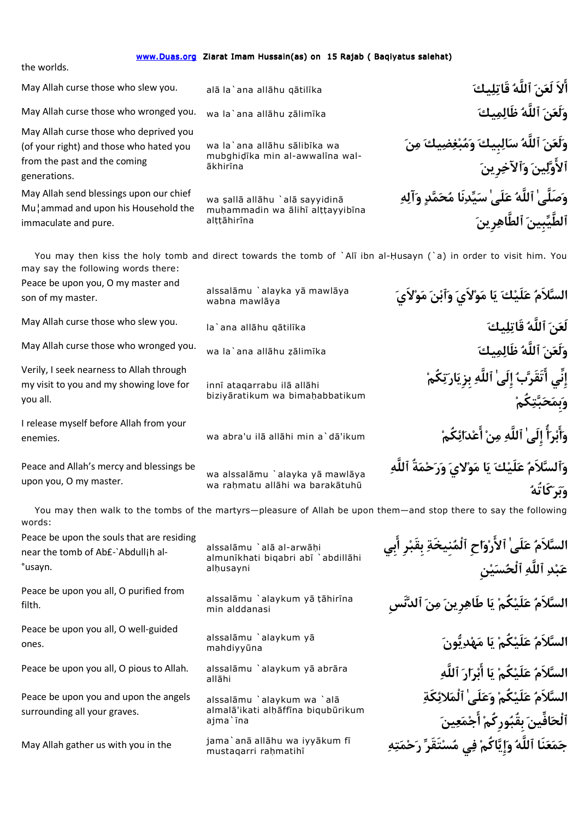| www.Duas.org Ziarat Imam Hussain(as) on 15 Rajab (Baqiyatus salehat)<br>the worlds.                                               |                                                                                   |                                                                                                                                                                           |
|-----------------------------------------------------------------------------------------------------------------------------------|-----------------------------------------------------------------------------------|---------------------------------------------------------------------------------------------------------------------------------------------------------------------------|
| May Allah curse those who slew you.                                                                                               | alā la`ana allāhu qātilīka                                                        | أَلاَ لَعَنَ ٱللَّهُ قَاتِلِيكَ                                                                                                                                           |
| May Allah curse those who wronged you.                                                                                            | wa la`ana allāhu zālimīka                                                         | وَلَعَنَ ٱللَّهُ ظَالِمِيكَ                                                                                                                                               |
| May Allah curse those who deprived you<br>(of your right) and those who hated you<br>from the past and the coming<br>generations. | wa la`ana allāhu sālibīka wa<br>mubghidīka min al-awwalīna wal-<br>ākhirīna       | وَلَعَنَ ٱللَّهُ سَالِبِيكَ وَمُبْغِضِيكَ مِنَ<br>ٱلأَوَّلِينَ وَٱلآخِرِينَ                                                                                               |
| May Allah send blessings upon our chief<br>Mu¦ammad and upon his Household the<br>immaculate and pure.                            | wa şallā allāhu `alā sayyidinā<br>muhammadin wa alihi alttayyibina<br>alttāhirīna | وَصَلَّىٰ ٱللَّهُ عَلَىٰ سَيِّدِنَا مُحَمَّدٍ وَٱلِهِ<br>ٱلطَّيِّبينَ ٱلطَّاهِرِينَ                                                                                       |
| may say the following words there:<br>Peace be upon you, O my master and<br>son of my master.                                     | alssalāmu `alayka yā mawlāya<br>wabna mawlāya                                     | You may then kiss the holy tomb and direct towards the tomb of `Alī ibn al-Husayn (`a) in order to visit him. You<br>السَّلاَمُ عَلَيْكَ يَا مَوْلاَىَ وَأَبْنَ مَوْلاَىَ |
| May Allah curse those who slew you.                                                                                               | la`ana allāhu qātilīka                                                            | لَعَنَ ٱللَّهُ قَاتِلِيكَ                                                                                                                                                 |
| May Allah curse those who wronged you.                                                                                            | wa la`ana allāhu zālimīka                                                         | وَلَعَنَ ٱللَّهُ ظَالِمِيكَ                                                                                                                                               |
| Verily, I seek nearness to Allah through<br>my visit to you and my showing love for<br>you all.                                   | innī ataqarrabu ilā allāhi<br>biziyāratikum wa bimahabbatikum                     | إِنِّى أَتَقَرَّبُ إِلَىٰ ٱللَّهِ بزِيَارَتِكُمْ<br>وَبِمَحَبَّتِكُمْ                                                                                                     |
| I release myself before Allah from your<br>enemies.                                                                               | wa abra'u ilā allāhi min a`dā'ikum                                                | وَأَبْرَأُ إِلَىٰ ٱللَّهِ مِنْ أَعْدَائِكُمْ                                                                                                                              |
| Peace and Allah's mercy and blessings be<br>upon you, O my master.                                                                | wa alssalāmu `alayka yā mawlāya<br>wa rahmatu allāhi wa barakātuhū                | وَٱلسَّلاَمُ عَلَيْكَ يَا مَوْلايَ وَرَحْمَةُ ٱللَّهِ<br>وَبَرَكَاتُهُ                                                                                                    |
| You may then walk to the tombs of the martyrs-pleasure of Allah be upon them-and stop there to say the following<br>words:        |                                                                                   |                                                                                                                                                                           |
| Peace be upon the souls that are residing<br>near the tomb of Ab£-`Abdullih al-<br>°usayn.                                        | alssalāmu `alā al-arwāhi<br>almunīkhati biqabri abī `abdillāhi<br>alhusayni       | السَّلاَمُ عَلَىٰ ٱلأَرْوَاحِ ٱلْمُنِيخَةِ بِقَبْرِ أَبِي<br>عَبْدِ ٱللَّهِ ٱلْحُسَيْنِ                                                                                   |
| Peace be upon you all, O purified from<br>filth.                                                                                  | alssalāmu `alaykum yā tāhirīna<br>min alddanasi                                   | السَّلاَمُ عَلَيْكُمْ يَا طَاهِرِينَ مِنَ ٱلدَّنَّسِ                                                                                                                      |
| Peace be upon you all, O well-guided<br>ones.                                                                                     | alssalāmu `alaykum yā<br>mahdiyyūna                                               | السَّلاَمُ عَلَيْكُمْ يَا مَهْدِيُّونَ                                                                                                                                    |
| Peace be upon you all, O pious to Allah.                                                                                          | alssalāmu `alaykum yā abrāra<br>allāhi                                            | السَّلاَمُ عَلَيْكُمْ يَا أَبْرَارَ ٱللَّهِ                                                                                                                               |
| Peace be upon you and upon the angels<br>surrounding all your graves.                                                             | alssalāmu `alaykum wa `alā<br>almalā'ikati alhāffīna biqubūrikum<br>ajma`īna      | السَّلاَمُ عَلَيْكُمْ وَعَلَىٰ ٱلْمَلائِكَةِ<br>ٱلْحَافِّينَ بِقُبُورِ كُمْ أَجْمَعِينَ                                                                                   |

May Allah gather us with you in the

jama`anā allāhu wa iyyākum fī<br>mustaqarri raḥmatihī **بَحَمَعَنَا ٱللَّهُ وَإِيَّاكُمْ فِي مُسْتَقَرِّ رَحْمَتِهِ**